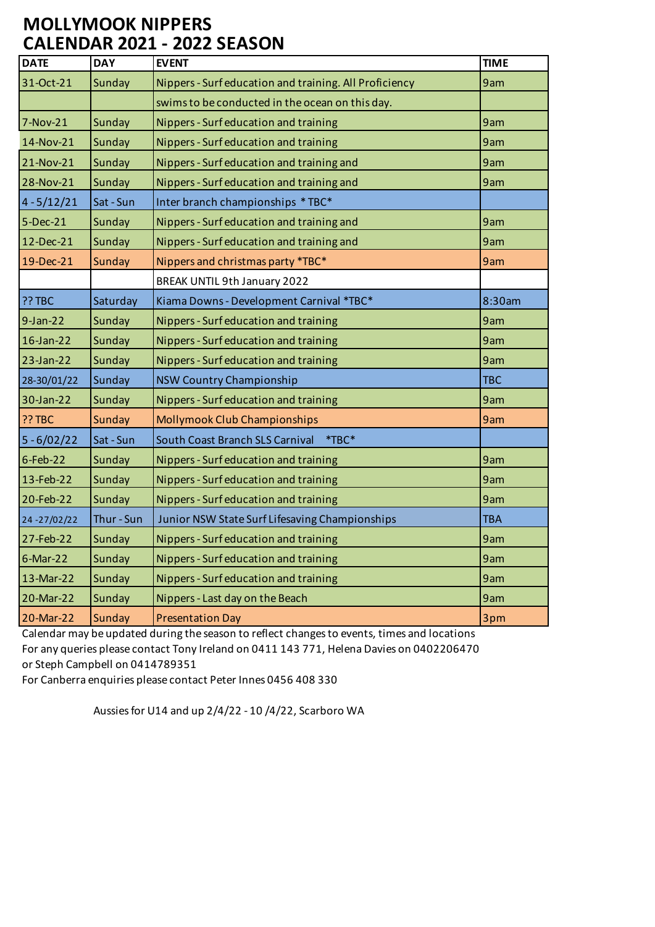## **MOLLYMOOK NIPPERS CALENDAR 2021 - 2022 SEASON**

| <b>DATE</b>   | <b>DAY</b> | <b>EVENT</b>                                           | <b>TIME</b> |
|---------------|------------|--------------------------------------------------------|-------------|
| 31-Oct-21     | Sunday     | Nippers - Surf education and training. All Proficiency | 9am         |
|               |            | swims to be conducted in the ocean on this day.        |             |
| 7-Nov-21      | Sunday     | Nippers - Surf education and training                  | 9am         |
| 14-Nov-21     | Sunday     | Nippers - Surf education and training                  | 9am         |
| 21-Nov-21     | Sunday     | Nippers - Surf education and training and              | 9am         |
| 28-Nov-21     | Sunday     | Nippers - Surf education and training and              | 9am         |
| $4 - 5/12/21$ | Sat - Sun  | Inter branch championships * TBC*                      |             |
| $5$ -Dec-21   | Sunday     | Nippers - Surf education and training and              | 9am         |
| 12-Dec-21     | Sunday     | Nippers - Surf education and training and              | 9am         |
| 19-Dec-21     | Sunday     | Nippers and christmas party *TBC*                      | 9am         |
|               |            | BREAK UNTIL 9th January 2022                           |             |
| ?? TBC        | Saturday   | Kiama Downs - Development Carnival *TBC*               | 8:30am      |
| $9-Jan-22$    | Sunday     | Nippers - Surf education and training                  | 9am         |
| $16$ -Jan-22  | Sunday     | Nippers - Surf education and training                  | 9am         |
| $23$ -Jan-22  | Sunday     | Nippers - Surf education and training                  | 9am         |
| 28-30/01/22   | Sunday     | <b>NSW Country Championship</b>                        | <b>TBC</b>  |
| 30-Jan-22     | Sunday     | Nippers - Surf education and training                  | 9am         |
| ?? TBC        | Sunday     | Mollymook Club Championships                           | 9am         |
| $5 - 6/02/22$ | Sat - Sun  | South Coast Branch SLS Carnival<br>$*TBC*$             |             |
| $6$ -Feb-22   | Sunday     | Nippers - Surf education and training                  | 9am         |
| 13-Feb-22     | Sunday     | Nippers - Surf education and training                  | 9am         |
| 20-Feb-22     | Sunday     | Nippers - Surf education and training                  | 9am         |
| 24-27/02/22   | Thur - Sun | Junior NSW State Surf Lifesaving Championships         | <b>TBA</b>  |
| 27-Feb-22     | Sunday     | Nippers - Surf education and training                  | 9am         |
| $6$ -Mar-22   | Sunday     | Nippers - Surf education and training                  | 9am         |
| 13-Mar-22     | Sunday     | Nippers - Surf education and training                  | 9am         |
| 20-Mar-22     | Sunday     | Nippers - Last day on the Beach                        | 9am         |
| 20-Mar-22     | Sunday     | <b>Presentation Day</b>                                | 3pm         |

Calendar may be updated during the season to reflect changes to events, times and locations For any queries please contact Tony Ireland on 0411 143 771, Helena Davies on 0402206470 or Steph Campbell on 0414789351

For Canberra enquiries please contact Peter Innes 0456 408 330

Aussies for U14 and up 2/4/22 - 10 /4/22, Scarboro WA